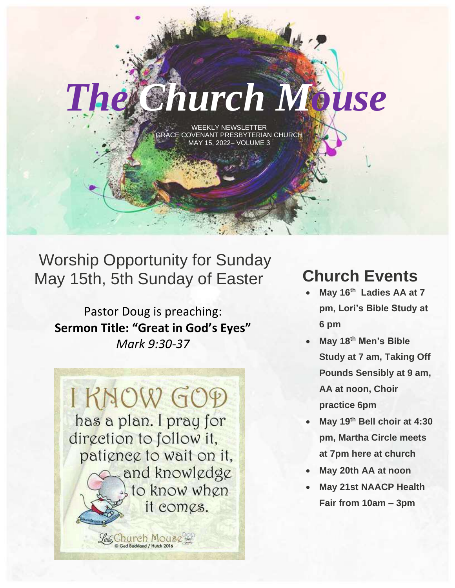WEEKLY NEWSLETTER ACE COVENANT PRESBYTERIAN CHURCH MAY 15, 2022– VOLUME 3

*The Church Mouse*

### Worship Opportunity for Sunday May 15th, 5th Sunday of Easter

Pastor Doug is preaching: **Sermon Title: "Great in God's Eyes"** *Mark 9:30-37*



### **Church Events**

- **May 16 th Ladies AA at 7 pm, Lori's Bible Study at 6 pm**
- **May 18th Men's Bible Study at 7 am, Taking Off Pounds Sensibly at 9 am, AA at noon, Choir practice 6pm**
- **May 19 th Bell choir at 4:30 pm, Martha Circle meets at 7pm here at church**
- **May 20th AA at noon**
- **May 21st NAACP Health Fair from 10am – 3pm**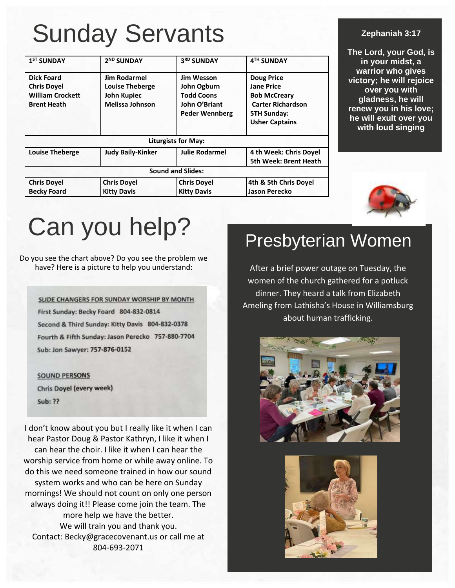## Sunday Servants

| 1 <sup>ST</sup> SUNDAY                                                                   | 2 <sup>ND</sup> SUNDAY                                                                 | 3RD SUNDAY                                                                                      | 4TH SUNDAY                                                                                                                               |  |
|------------------------------------------------------------------------------------------|----------------------------------------------------------------------------------------|-------------------------------------------------------------------------------------------------|------------------------------------------------------------------------------------------------------------------------------------------|--|
| <b>Dick Foard</b><br><b>Chris Dovel</b><br><b>William Crockett</b><br><b>Brent Heath</b> | <b>Jim Rodarmel</b><br><b>Louise Theberge</b><br>John Kupiec<br><b>Melissa Johnson</b> | <b>Jim Wesson</b><br>John Ogburn<br><b>Todd Coons</b><br>John O'Briant<br><b>Peder Wennberg</b> | <b>Doug Price</b><br><b>Jane Price</b><br><b>Bob McCreary</b><br><b>Carter Richardson</b><br><b>5TH Sunday:</b><br><b>Usher Captains</b> |  |
| <b>Liturgists for May:</b>                                                               |                                                                                        |                                                                                                 |                                                                                                                                          |  |
| <b>Louise Theberge</b>                                                                   | <b>Judy Baily-Kinker</b>                                                               | <b>Julie Rodarmel</b>                                                                           | 4 th Week: Chris Dovel<br><b>5th Week: Brent Heath</b>                                                                                   |  |
|                                                                                          |                                                                                        | <b>Sound and Slides:</b>                                                                        |                                                                                                                                          |  |
| <b>Chris Doyel</b><br><b>Becky Foard</b>                                                 | <b>Chris Doyel</b><br><b>Kitty Davis</b>                                               | <b>Chris Doyel</b><br><b>Kitty Davis</b>                                                        | 4th & 5th Chris Doyel<br>Jason Perecko                                                                                                   |  |

#### **Zephaniah 3:17**

**The Lord, your God, is in your midst, a warrior who gives victory; he will rejoice over you with gladness, he will renew you in his love; he will exult over you with loud singing**



# Can you help?

#### Do you see the chart above? Do you see the problem we have? Here is a picture to help you understand:

SLIDE CHANGERS FOR SUNDAY WORSHIP BY MONTH First Sunday: Becky Foard 804-832-0814 Second & Third Sunday: Kitty Davis 804-832-0378 Fourth & Fifth Sunday: Jason Perecko 757-880-7704 Sub: Jon Sawyer: 757-876-0152



I don't know about you but I really like it when I can hear Pastor Doug & Pastor Kathryn, I like it when I can hear the choir. I like it when I can hear the worship service from home or while away online. To do this we need someone trained in how our sound system works and who can be here on Sunday mornings! We should not count on only one person always doing it!! Please come join the team. The more help we have the better. We will train you and thank you. Contact: Becky@gracecovenant.us or call me at 804-693-2071

### Presbyterian Women

After a brief power outage on Tuesday, the women of the church gathered for a potluck dinner. They heard a talk from Elizabeth Ameling from Lathisha's House in Williamsburg about human trafficking.



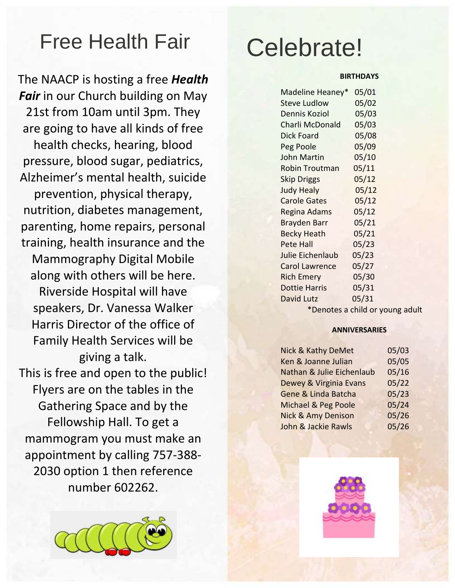## Free Health Fair

The NAACP is hosting a free *Health*  **Fair** in our Church building on May 21st from 10am until 3pm. They are going to have all kinds of free health checks, hearing, blood pressure, blood sugar, pediatrics, Alzheimer's mental health, suicide prevention, physical therapy, nutrition, diabetes management, parenting, home repairs, personal training, health insurance and the Mammography Digital Mobile along with others will be here. Riverside Hospital will have speakers, Dr. Vanessa Walker Harris Director of the office of Family Health Services will be giving a talk. This is free and open to the public! Flyers are on the tables in the Gathering Space and by the Fellowship Hall. To get a mammogram you must make an appointment by calling 757-388- 2030 option 1 then reference number 602262.



## Celebrate!

#### **BIRTHDAYS**

| Madeline Heaney*      | 05/01 |
|-----------------------|-------|
| <b>Steve Ludlow</b>   | 05/02 |
| Dennis Koziol         | 05/03 |
| Charli McDonald       | 05/03 |
| <b>Dick Foard</b>     | 05/08 |
| Peg Poole             | 05/09 |
| John Martin           | 05/10 |
| <b>Robin Troutman</b> | 05/11 |
| <b>Skip Driggs</b>    | 05/12 |
| <b>Judy Healy</b>     | 05/12 |
| <b>Carole Gates</b>   | 05/12 |
| Regina Adams          | 05/12 |
| <b>Brayden Barr</b>   | 05/21 |
| <b>Becky Heath</b>    | 05/21 |
| <b>Pete Hall</b>      | 05/23 |
| Julie Eichenlaub      | 05/23 |
| <b>Carol Lawrence</b> | 05/27 |
| <b>Rich Emery</b>     | 05/30 |
| <b>Dottie Harris</b>  | 05/31 |
| David Lutz            | 05/31 |
|                       |       |

\*Denotes a child or young adult

#### **ANNIVERSARIES**

| Nick & Kathy DeMet            | 05/03 |
|-------------------------------|-------|
| Ken & Joanne Julian           | 05/05 |
| Nathan & Julie Eichenlaub     | 05/16 |
| Dewey & Virginia Evans        | 05/22 |
| Gene & Linda Batcha           | 05/23 |
| Michael & Peg Poole           | 05/24 |
| <b>Nick &amp; Amy Denison</b> | 05/26 |
| John & Jackie Rawls           | 05/26 |

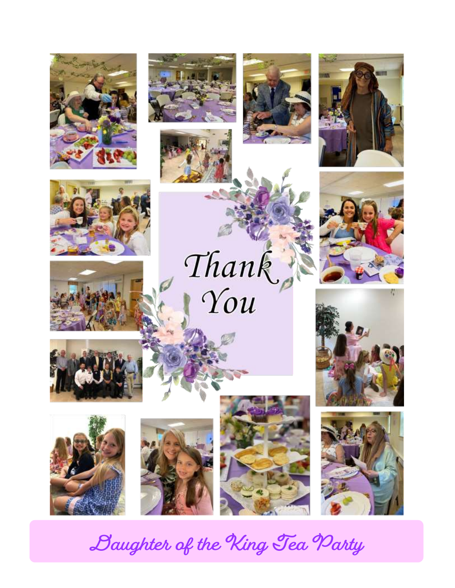



























**Daughter of the King Tea Party**